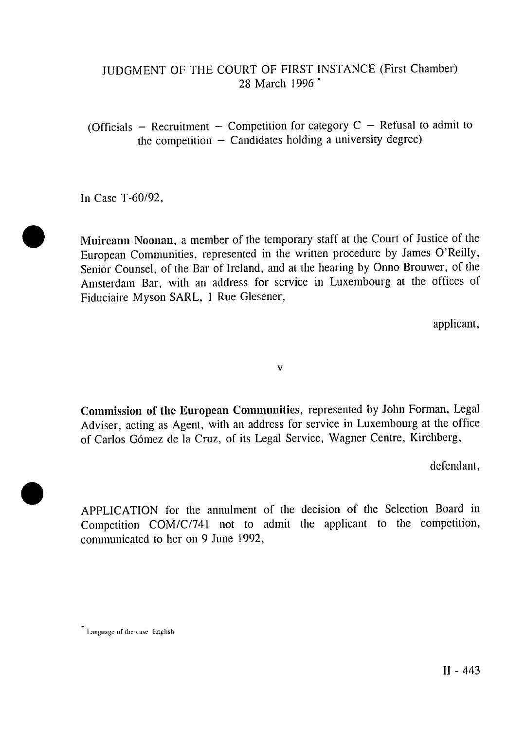## JUDGMENT OF THE COURT OF FIRST INSTANCE (First Chamber) 28 March 1996 \*

(Officials - Recruitment - Competition for category  $C$  - Refusal to admit to the competition  $-$  Candidates holding a university degree)

In Case T-60/92,

**Muireann Noonan,** a member of the temporary staff at the Court of Justice of the European Communities, represented in the written procedure by James O'Reilly, Senior Counsel, of the Bar of Ireland, and at the hearing by Onno Brouwer, of the Amsterdam Bar, with an address for service in Luxembourg at the offices of Fiduciaire Myson SARL, 1 Rue Glesener,

applicant,

v

**Commission of the European Communities,** represented by John Forman, Legal Adviser, acting as Agent, with an address for service in Luxembourg at the office of Carlos Gómez de la Cruz, of its Legal Service, Wagner Centre, Kirchberg,

defendant,

APPLICATION for the annulment of the decision of the Selection Board in Competition COM/C/741 not to admit the applicant to the competition, communicated to her on 9 June 1992,

<sup>\*</sup> Language of the case: English.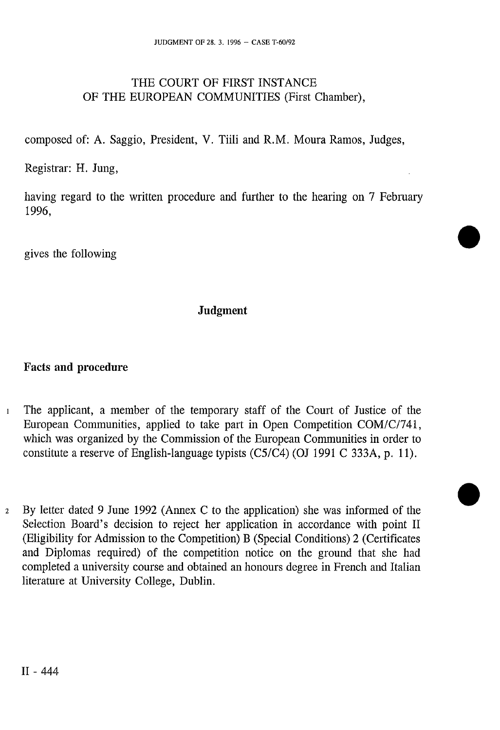### THE COURT OF FIRST INSTANCE OF THE EUROPEAN COMMUNITIES (First Chamber),

composed of: A. Saggio, President, V. Tiili and R.M. Moura Ramos, Judges,

Registrar: H. Jung,

having regard to the written procedure and further to the hearing on 7 February 1996,

gives the following

### **Judgment**

### **Facts and procedure**

- 1 The applicant, a member of the temporary staff of the Court of Justice of the European Communities, applied to take part in Open Competition COM/C/741, which was organized by the Commission of the European Communities in order to constitute a reserve of English-language typists (C5/C4) (OJ 1991 C 333A, p. 11).
- 2 By letter dated 9 June 1992 (Annex C to the application) she was informed of the Selection Board's decision to reject her application in accordance with point II (Eligibility for Admission to the Competition) B (Special Conditions) 2 (Certificates and Diplomas required) of the competition notice on the ground that she had completed a university course and obtained an honours degree in French and Italian literature at University College, Dublin.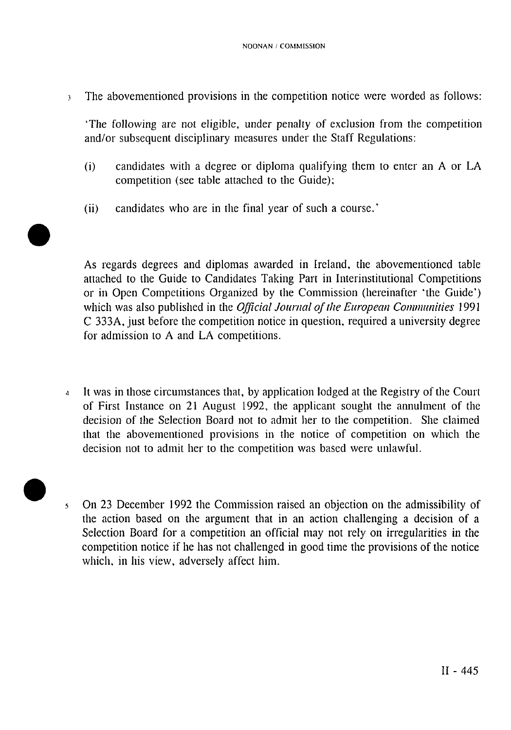<sup>3</sup> The abovementioned provisions in the competition notice were worded as follows:

'The following are not eligible, under penalty of exclusion from the competition and/or subsequent disciplinary measures under the Staff Regulations:

- (i) candidates with a degree or diploma qualifying them to enter an A or LA competition (see table attached to the Guide);
- (ii) candidates who are in the final year of such a course.'

As regards degrees and diplomas awarded in Ireland, the abovementioned table attached to the Guide to Candidates Taking Part in Interinstitutional Competitions or in Open Competitions Organized by the Commission (hereinafter 'the Guide') which was also published in the *Official Joumal of the European Communities* 1991 C 333A, just before the competition notice in question, required a university degree for admission to A and LA competitions.

- 4 It was in those circumstances that, by application lodged at the Registry of the Court of First Instance on 21 August 1992, the applicant sought the annulment of the decision of the Selection Board not to admit her to the competition. She claimed that the abovementioned provisions in the notice of competition on which the decision not to admit her to the competition was based were unlawful.
- 5 On 23 December 1992 the Commission raised an objection on the admissibility of the action based on the argument that in an action challenging a decision of a Selection Board for a competition an official may not rely on irregularities in the competition notice if he has not challenged in good time the provisions of the notice which, in his view, adversely affect him.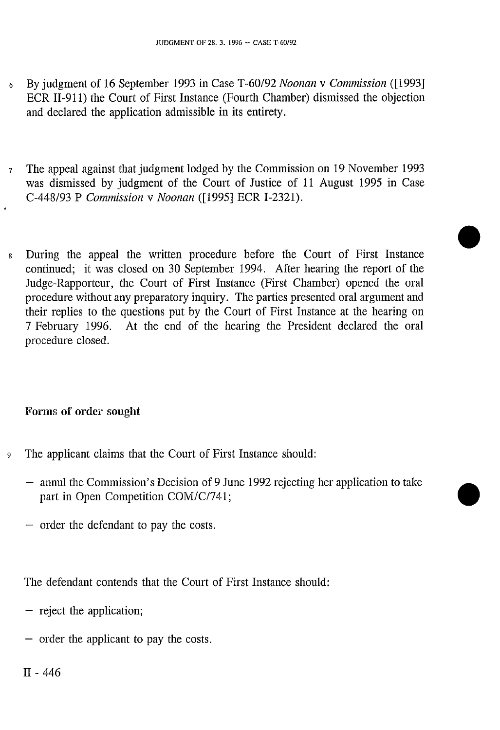- 6 By judgment of 16 September 1993 in Case T-60/92 *Noonan* v *Commission* ([1993] ECR II-911) the Court of First Instance (Fourth Chamber) dismissed the objection and declared the application admissible in its entirety.
- 7 The appeal against that judgment lodged by the Commission on 19 November 1993 was dismissed by judgment of the Court of Justice of 11 August 1995 in Case C-448/93 P *Commission* v *Noonan* ([1995] ECR I-2321).
- 8 During the appeal the written procedure before the Court of First Instance continued; it was closed on 30 September 1994. After hearing the report of the Judge-Rapporteur, the Court of First Instance (First Chamber) opened the oral procedure without any preparatory inquiry. The parties presented oral argument and their replies to the questions put by the Court of First Instance at the hearing on 7 February 1996. At the end of the hearing the President declared the oral procedure closed.

# Forms of order sought

- 9 The applicant claims that the Court of First Instance should:
	- annul the Commission's Decision of 9 June 1992 rejecting her application to take part in Open Competition COM/C/741;
	- order the defendant to pay the costs.

The defendant contends that the Court of First Instance should:

- reject the application;
- order the applicant to pay the costs.

II - 446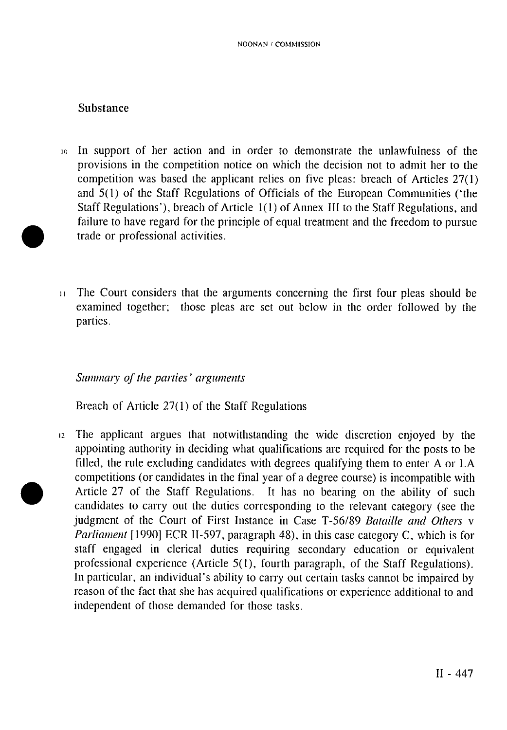### Substance

- 10 In support of her action and in order to demonstrate the unlawfulness of the provisions in the competition notice on which the decision not to admit her to the competition was based the applicant relies on five pleas: breach of Articles 27(1) and 5(1) of the Staff Regulations of Officials of the European Communities ('the Staff Regulations'), breach of Article 1(1) of Annex III to the Staff Regulations, and failure to have regard for the principle of equal treatment and the freedom to pursue trade or professional activities.
- $11$  The Court considers that the arguments concerning the first four pleas should be examined together; those pleas are set out below in the order followed by the parties.

#### *Summary of the parties' arguments*

Breach of Article 27(1) of the Staff Regulations

12 The applicant argues that notwithstanding the wide discretion enjoyed by the appointing authority in deciding what qualifications are required for the posts to be filled, the rule excluding candidates with degrees qualifying them to enter A or LA competitions (or candidates in the final year of a degree course) is incompatible with Article 27 of the Staff Regulations. It has no bearing on the ability of such candidates to carry out the duties corresponding to the relevant category (see the judgment of the Court of First Instance in Case T-56/89 *Bataille and Others* v *Parliament* [1990] ECR II-597, paragraph 48), in this case category C, which is for staff engaged in clerical duties requiring secondary education or equivalent professional experience (Article 5(1), fourth paragraph, of the Staff Regulations). In particular, an individual's ability to carry out certain tasks cannot be impaired by reason of the fact that she has acquired qualifications or experience additional to and independent of those demanded for those tasks.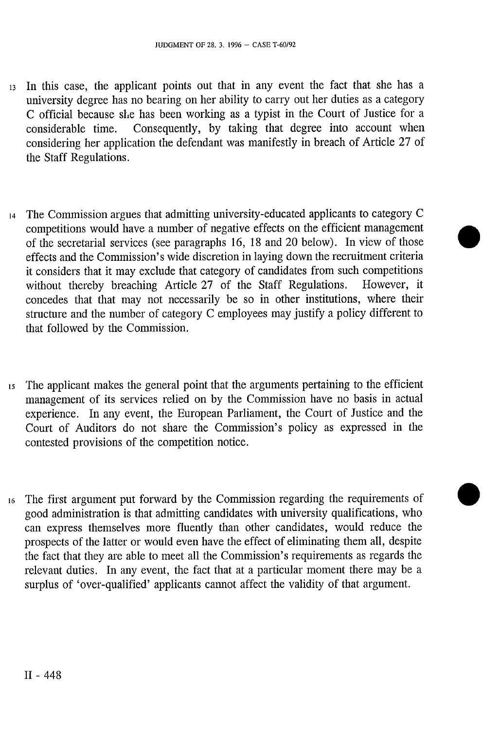- 13 In this case, the applicant points out that in any event the fact that she has a university degree has no bearing on her ability to carry out her duties as a category C official because she has been working as a typist in the Court of Justice for a considerable time. Consequently, by taking that degree into account when considering her application the defendant was manifestly in breach of Article 27 of the Staff Regulations.
- 14 The Commission argues that admitting university-educated applicants to category C competitions would have a number of negative effects on the efficient management of the secretarial services (see paragraphs 16, 18 and 20 below). In view of those effects and the Commission's wide discretion in laying down the recruitment criteria it considers that it may exclude that category of candidates from such competitions without thereby breaching Article 27 of the Staff Regulations. However, it concedes that that may not necessarily be so in other institutions, where their structure and the number of category C employees may justify a policy different to that followed by the Commission.
- 15 The applicant makes the general point that the arguments pertaining to the efficient management of its services relied on by the Commission have no basis in actual experience. In any event, the European Parliament, the Court of Justice and the Court of Auditors do not share the Commission's policy as expressed in the contested provisions of the competition notice.
- 16 The first argument put forward by the Commission regarding the requirements of good administration is that admitting candidates with university qualifications, who can express themselves more fluently than other candidates, would reduce the prospects of the latter or would even have the effect of eliminating them all, despite the fact that they are able to meet all the Commission's requirements as regards the relevant duties. In any event, the fact that at a particular moment there may be a surplus of 'over-qualified' applicants cannot affect the validity of that argument.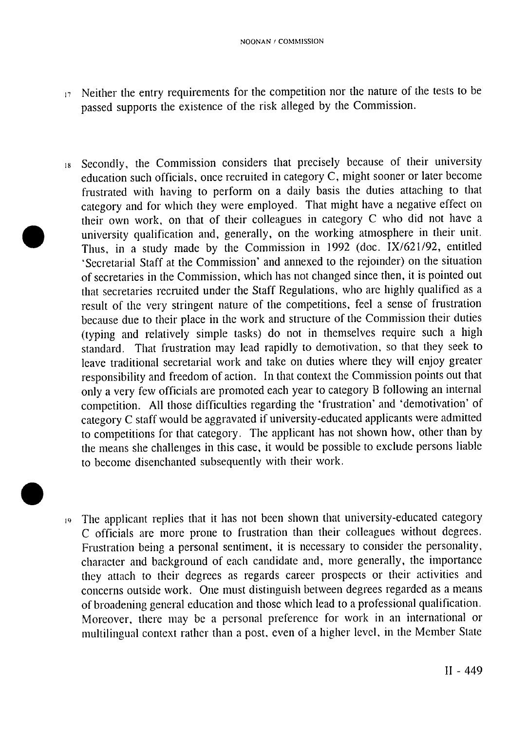- $17$  Neither the entry requirements for the competition nor the nature of the tests to be passed supports the existence of the risk alleged by the Commission.
- 18 Secondly, the Commission considers that precisely because of their university education such officials, once recruited in category C, might sooner or later become frustrated with having to perform on a daily basis the duties attaching to that category and for which they were employed. That might have a negative effect on their own work, on that of their colleagues in category C who did not have a university qualification and, generally, on the working atmosphere in their unit. Thus, in a study made by the Commission in 1992 (doc. IX/621/92, entitled 'Secretarial Staff at the Commission' and annexed to the rejoinder) on the situation of secretaries in the Commission, which has not changed since then, it is pointed out that secretaries recruited under the Staff Regulations, who are highly qualified as a result of the very stringent nature of the competitions, feel a sense of frustration because due to their place in the work and structure of the Commission their duties (typing and relatively simple tasks) do not in themselves require such a high standard. That frustration may lead rapidly to demotivation, so that they seek to leave traditional secretarial work and take on duties where they will enjoy greater responsibility and freedom of action. In that context the Commission points out that only a very few officials are promoted each year to category B following an internal competition. All those difficulties regarding the 'frustration' and 'demotivation' of category C staff would be aggravated if university-educated applicants were admitted to competitions for that category. The applicant has not shown how, other than by the means she challenges in this case, it would be possible to exclude persons liable to become disenchanted subsequently with their work.
- 19 The applicant replies that it has not been shown that university-educated category C officials are more prone to frustration than their colleagues without degrees. Frustration being a personal sentiment, it is necessary to consider the personality, character and background of each candidate and, more generally, the importance they attach to their degrees as regards career prospects or their activities and concerns outside work. One must distinguish between degrees regarded as a means of broadening general education and those which lead to a professional qualification. Moreover, there may be a personal preference for work in an international or multilingual context rather than a post, even of a higher level, in the Member State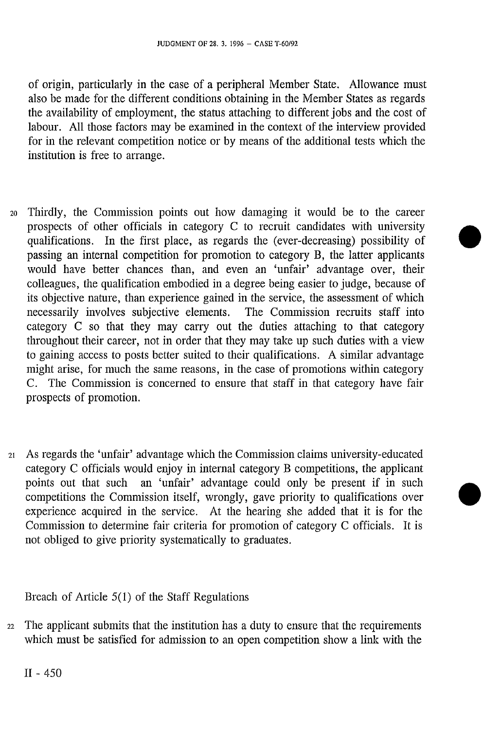of origin, particularly in the case of a peripheral Member State. Allowance must also be made for the different conditions obtaining in the Member States as regards the availability of employment, the status attaching to different jobs and the cost of labour. All those factors may be examined in the context of the interview provided for in the relevant competition notice or by means of the additional tests which the institution is free to arrange.

- 20 Thirdly, the Commission points out how damaging it would be to the career prospects of other officials in category C to recruit candidates with university qualifications. In the first place, as regards the (ever-decreasing) possibility of passing an internal competition for promotion to category B, the latter applicants would have better chances than, and even an 'unfair' advantage over, their colleagues, the qualification embodied in a degree being easier to judge, because of its objective nature, than experience gained in the service, the assessment of which necessarily involves subjective elements. The Commission recruits staff into category C so that they may carry out the duties attaching to that category throughout their career, not in order that they may take up such duties with a view to gaining access to posts better suited to their qualifications. A similar advantage might arise, for much the same reasons, in the case of promotions within category C. The Commission is concerned to ensure that staff in that category have fair prospects of promotion.
- 21 As regards the 'unfair' advantage which the Commission claims university-educated category C officials would enjoy in internal category B competitions, the applicant points out that such an 'unfair' advantage could only be present if in such competitions the Commission itself, wrongly, gave priority to qualifications over experience acquired in the service. At the hearing she added that it is for the Commission to determine fair criteria for promotion of category C officials. It is not obliged to give priority systematically to graduates.

Breach of Article 5(1) of the Staff Regulations

22 The applicant submits that the institution has a duty to ensure that the requirements which must be satisfied for admission to an open competition show a link with the

II - 450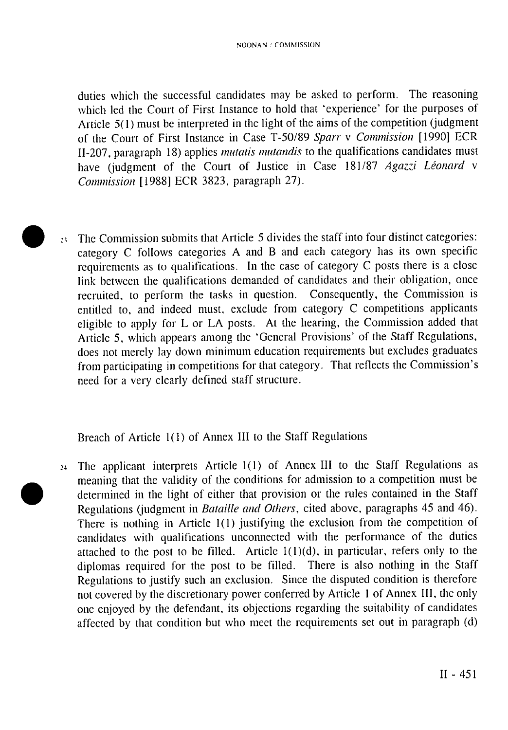duties which the successful candidates may be asked to perform. The reasoning which led the Court of First Instance to hold that 'experience' for the purposes of Article 5(1) must be interpreted in the light of the aims of the competition (judgment of the Court of First Instance in Case T-50/89 *Sparr* v *Commission* [1990] ECR II-207, paragraph 18) applies *mutatis mutandis* to the qualifications candidates must have (judgment of the Court of Justice in Case 181/87 *Agazzi Léonard* v *Commission* [1988] ECR 3823, paragraph 27).

23 The Commission submits that Article 5 divides the staff into four distinct categories: category C follows categories A and B and each category has its own specific requirements as to qualifications. In the case of category C posts there is a close link between the qualifications demanded of candidates and their obligation, once recruited, to perform the tasks in question. Consequently, the Commission is entitled to, and indeed must, exclude from category C competitions applicants eligible to apply for L or LA posts. At the hearing, the Commission added that Article 5, which appears among the 'General Provisions' of the Staff Regulations, does not merely lay down minimum education requirements but excludes graduates from participating in competitions for that category. That reflects the Commission's need for a very clearly defined staff structure.

Breach of Article 1(1) of Annex III to the Staff Regulations

24 The applicant interprets Article 1(1) of Annex III to the Staff Regulations as meaning that the validity of the conditions for admission to a competition must be determined in the light of either that provision or the rules contained in the Staff Regulations (judgment in *Bataille and Others,* cited above, paragraphs 45 and 46). There is nothing in Article 1(1) justifying the exclusion from the competition of candidates with qualifications unconnected with the performance of the duties attached to the post to be filled. Article  $1(1)(d)$ , in particular, refers only to the diplomas required for the post to be filled. There is also nothing in the Staff Regulations to justify such an exclusion. Since the disputed condition is therefore not covered by the discretionary power conferred by Article 1 of Annex III, the only one enjoyed by the defendant, its objections regarding the suitability of candidates affected by that condition but who meet the requirements set out in paragraph (d)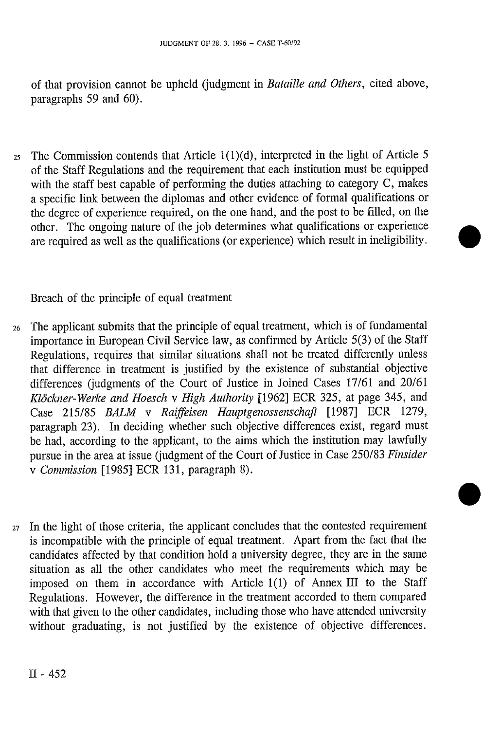of that provision cannot be upheld (judgment in *Bataille and Others,* cited above, paragraphs 59 and 60).

 $25$  The Commission contends that Article 1(1)(d), interpreted in the light of Article 5 of the Staff Regulations and the requirement that each institution must be equipped with the staff best capable of performing the duties attaching to category C, makes a specific link between the diplomas and other evidence of formal qualifications or the degree of experience required, on the one hand, and the post to be filled, on the other. The ongoing nature of the job determines what qualifications or experience are required as well as the qualifications (or experience) which result in ineligibility.

Breach of the principle of equal treatment

- 26 The applicant submits that the principle of equal treatment, which is of fundamental importance in European Civil Service law, as confirmed by Article 5(3) of the Staff Regulations, requires that similar situations shall not be treated differently unless that difference in treatment is justified by the existence of substantial objective differences (judgments of the Court of Justice in Joined Cases 17/61 and 20/61 *Klöckner-Werke and Hoesch* v *High Authority* [1962] ECR 325, at page 345, and Case 215/85 *BALM* v *Raiffeisen Hauptgenossenschafl* [1987] ECR 1279, paragraph 23). In deciding whether such objective differences exist, regard must be had, according to the applicant, to the aims which the institution may lawfully pursue in the area at issue (judgment of the Court of Justice in Case 250/83 *Finsider*  v *Commission* [1985] ECR 131, paragraph 8).
- $27$  In the light of those criteria, the applicant concludes that the contested requirement is incompatible with the principle of equal treatment. Apart from the fact that the candidates affected by that condition hold a university degree, they are in the same situation as all the other candidates who meet the requirements which may be imposed on them in accordance with Article 1(1) of Annex III to the Staff Regulations. However, the difference in the treatment accorded to them compared with that given to the other candidates, including those who have attended university without graduating, is not justified by the existence of objective differences.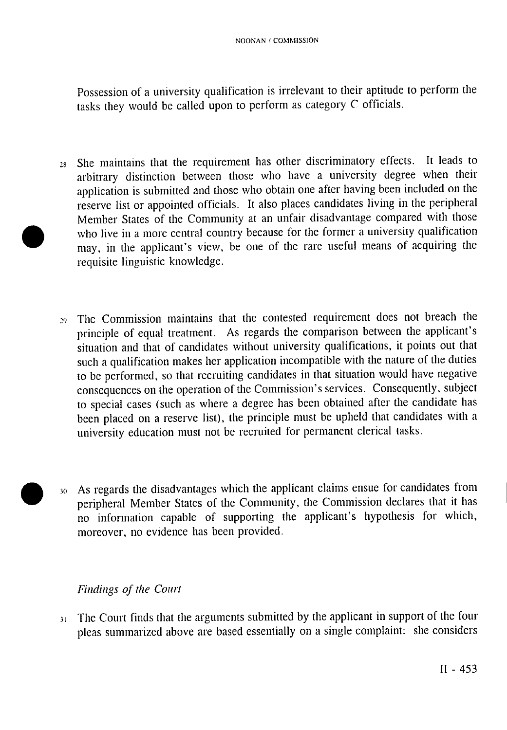Possession of a university qualification is irrelevant to their aptitude to perform the tasks they would be called upon to perform as category C officials.

- 28 She maintains that the requirement has other discriminatory effects. It leads to arbitrary distinction between those who have a university degree when their application is submitted and those who obtain one after having been included on the reserve list or appointed officials. It also places candidates living in the peripheral Member States of the Community at an unfair disadvantage compared with those who live in a more central country because for the former a university qualification may, in the applicant's view, be one of the rare useful means of acquiring the requisite linguistic knowledge.
- The Commission maintains that the contested requirement does not breach the principle of equal treatment. As regards the comparison between the applicant's situation and that of candidates without university qualifications, it points out that such a qualification makes her application incompatible with the nature of the duties to be performed, so that recruiting candidates in that situation would have negative consequences on the operation of the Commission's services. Consequently, subject to special cases (such as where a degree has been obtained after the candidate has been placed on a reserve list), the principle must be upheld that candidates with a university education must not be recruited for permanent clerical tasks.
- 30 As regards the disadvantages which the applicant claims ensue for candidates from peripheral Member States of the Community, the Commission declares that it has no information capable of supporting the applicant's hypothesis for which, moreover, no evidence has been provided.

# *Findings of the Court*

31 The Court finds that the arguments submitted by the applicant in support of the four pleas summarized above are based essentially on a single complaint: she considers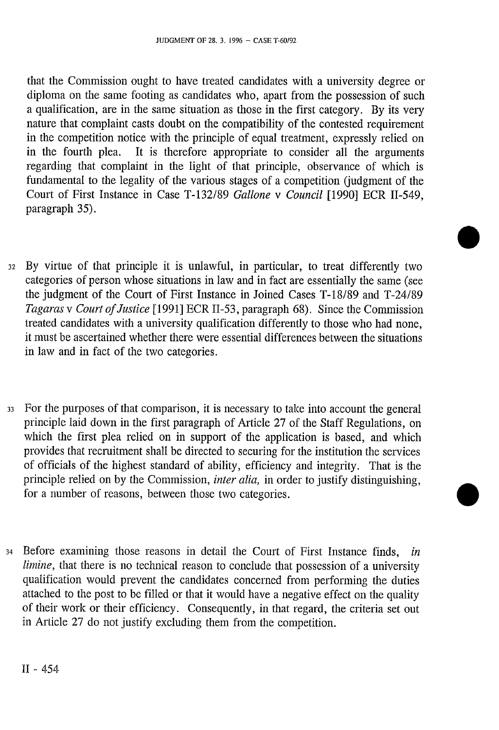that the Commission ought to have treated candidates with a university degree or diploma on the same footing as candidates who, apart from the possession of such a qualification, are in the same situation as those in the first category. By its very nature that complaint casts doubt on the compatibility of the contested requirement in the competition notice with the principle of equal treatment, expressly relied on<br>in the fourth plea. It is therefore appropriate to consider all the arguments It is therefore appropriate to consider all the arguments regarding that complaint in the light of that principle, observance of which is fundamental to the legality of the various stages of a competition (judgment of the Court of First Instance in Case T-132/89 *Galione* v *Council* [1990] ECR II-549, paragraph 35).

- 32 By virtue of that principle it is unlawful, in particular, to treat differently two categories of person whose situations in law and in fact are essentially the same (see the judgment of the Court of First Instance in Joined Cases T-18/89 and T-24/89 *Tagaras* v *Court of Justice* [1991] ECR II-53, paragraph 68). Since the Commission treated candidates with a university qualification differently to those who had none, it must be ascertained whether there were essential differences between the situations in law and in fact of the two categories.
- 33 For the purposes of that comparison, it is necessary to take into account the general principle laid down in the first paragraph of Article 27 of the Staff Regulations, on which the first plea relied on in support of the application is based, and which provides that recruitment shall be directed to securing for the institution the services of officials of the highest standard of ability, efficiency and integrity. That is the principle relied on by the Commission, *inter alia,* in order to justify distinguishing, for a number of reasons, between those two categories.
- 34 Before examining those reasons in detail the Court of First Instance finds, *in limine*, that there is no technical reason to conclude that possession of a university qualification would prevent the candidates concerned from performing the duties attached to the post to be filled or that it would have a negative effect on the quality of their work or their efficiency. Consequently, in that regard, the criteria set out in Article 27 do not justify excluding them from the competition.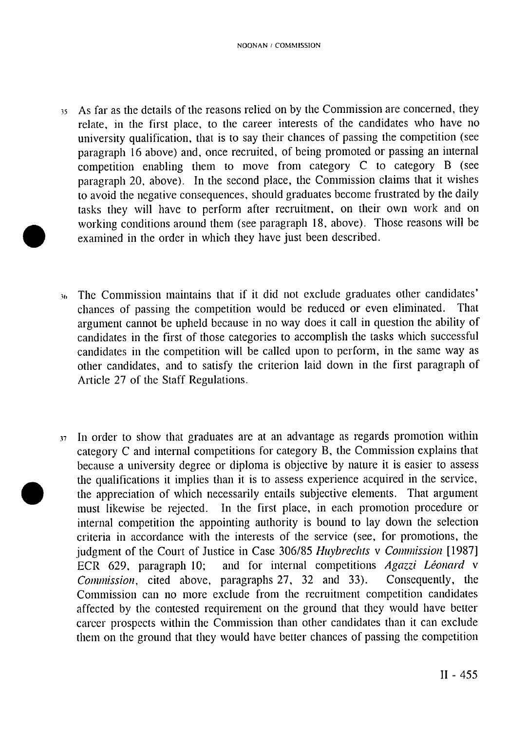- 35 As far as the details of the reasons relied on by the Commission are concerned, they relate, in the first place, to the career interests of the candidates who have no university qualification, that is to say their chances of passing the competition (see paragraph 16 above) and, once recruited, of being promoted or passing an internal competition enabling them to move from category C to category B (see paragraph 20, above). In the second place, the Commission claims that it wishes to avoid the negative consequences, should graduates become frustrated by the daily tasks they will have to perform after recruitment, on their own work and on working conditions around them (see paragraph 18, above). Those reasons will be examined in the order in which they have just been described.
- 36 The Commission maintains that if it did not exclude graduates other candidates' chances of passing the competition would be reduced or even eliminated. That argument cannot be upheld because in no way does it call in question the ability of candidates in the first of those categories to accomplish the tasks which successful candidates in the competition will be called upon to perform, in the same way as other candidates, and to satisfy the criterion laid down in the first paragraph of Article 27 of the Staff Regulations.
- 37 In order to show that graduates are at an advantage as regards promotion within category C and internal competitions for category B, the Commission explains that because a university degree or diploma is objective by nature it is easier to assess the qualifications it implies than it is to assess experience acquired in the service, the appreciation of which necessarily entails subjective elements. That argument must likewise be rejected. In the first place, in each promotion procedure or internal competition the appointing authority is bound to lay down the selection criteria in accordance with the interests of the service (see, for promotions, the judgment of the Court of Justice in Case 306/85 *Huybrechts* v *Commission* [1987] ECR 629, paragraph 10; and for internal competitions *Agazzi Léonard* v *Commission,* cited above, paragraphs 27, 32 and 33). Consequently, the Commission can no more exclude from the recruitment competition candidates affected by the contested requirement on the ground that they would have better career prospects within the Commission than other candidates than it can exclude them on the ground that they would have better chances of passing the competition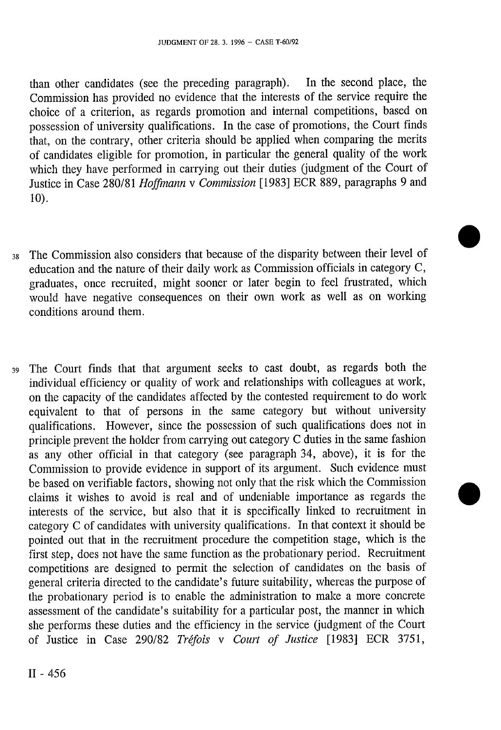than other candidates (see the preceding paragraph). In the second place, the Commission has provided no evidence that the interests of the service require the choice of a criterion, as regards promotion and internal competitions, based on possession of university qualifications. In the case of promotions, the Court finds that, on the contrary, other criteria should be applied when comparing the merits of candidates eligible for promotion, in particular the general quality of the work which they have performed in carrying out their duties (judgment of the Court of Justice in Case 280/81 *Hoffmann* v *Commission* [1983] ECR 889, paragraphs 9 and 10).

- 38 The Commission also considers that because of the disparity between their level of education and the nature of their daily work as Commission officials in category C, graduates, once recruited, might sooner or later begin to feel frustrated, which would have negative consequences on their own work as well as on working conditions around them.
- 39 The Court finds that that argument seeks to cast doubt, as regards both the individual efficiency or quality of work and relationships with colleagues at work, on the capacity of the candidates affected by the contested requirement to do work equivalent to that of persons in the same category but without university qualifications. However, since the possession of such qualifications does not in principle prevent the holder from carrying out category C duties in the same fashion as any other official in that category (see paragraph 34, above), it is for the Commission to provide evidence in support of its argument. Such evidence must be based on verifiable factors, showing not only that the risk which the Commission claims it wishes to avoid is real and of undeniable importance as regards the interests of the service, but also that it is specifically linked to recruitment in category C of candidates with university qualifications. In that context it should be pointed out that in the recruitment procedure the competition stage, which is the first step, does not have the same function as the probationary period. Recruitment competitions are designed to permit the selection of candidates on the basis of general criteria directed to the candidate's future suitability, whereas the purpose of the probationary period is to enable the administration to make a more concrete assessment of the candidate's suitability for a particular post, the manner in which she performs these duties and the efficiency in the service (judgment of the Court of Justice in Case 290/82 *Tréfois* v *Court of Justice* [1983] ECR 3751,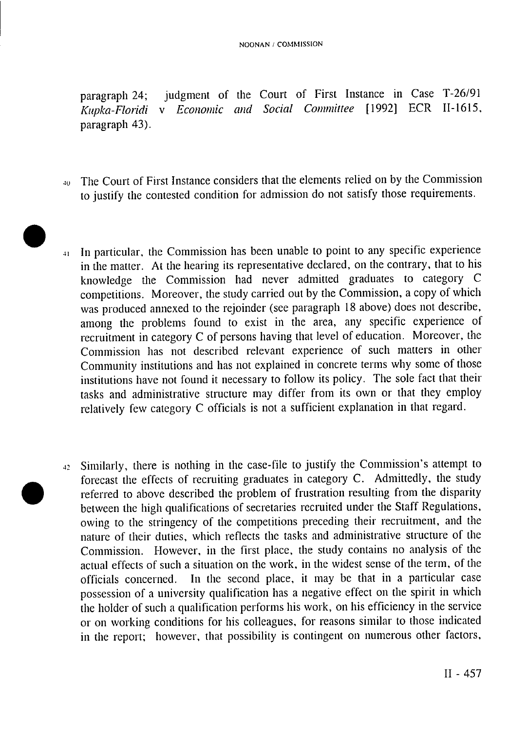paragraph 24; judgment of the Court of First Instance in Case T-26/91 *Kupka-Floridi* v *Economic and Social Committee* [1992] ECR II-1615, paragraph 43).

- <sup>40</sup> The Court of First Instance considers that the elements relied on by the Commission to justify the contested condition for admission do not satisfy those requirements.
- 41 In particular, the Commission has been unable to point to any specific experience in the matter. At the hearing its representative declared, on the contrary, that to his knowledge the Commission had never admitted graduates to category C competitions. Moreover, the study carried out by the Commission, a copy of which was produced annexed to the rejoinder (see paragraph 18 above) does not describe, among the problems found to exist in the area, any specific experience of recruitment in category C of persons having that level of education. Moreover, the Commission has not described relevant experience of such matters in other Community institutions and has not explained in concrete terms why some of those institutions have not found it necessary to follow its policy. The sole fact that their tasks and administrative structure may differ from its own or that they employ relatively few category C officials is not a sufficient explanation in that regard.
- 42 Similarly, there is nothing in the case-file to justify the Commission's attempt to forecast the effects of recruiting graduates in category C. Admittedly, the study referred to above described the problem of frustration resulting from the disparity between the high qualifications of secretaries recruited under the Staff Regulations, owing to the stringency of the competitions preceding their recruitment, and the nature of their duties, which reflects the tasks and administrative structure of the Commission. However, in the first place, the study contains no analysis of the actual effects of such a situation on the work, in the widest sense of the term, of the officials concerned. In the second place, it may be that in a particular case possession of a university qualification has a negative effect on the spirit in which the holder of such a qualification performs his work, on his efficiency in the service or on working conditions for his colleagues, for reasons similar to those indicated in the report; however, that possibility is contingent on numerous other factors,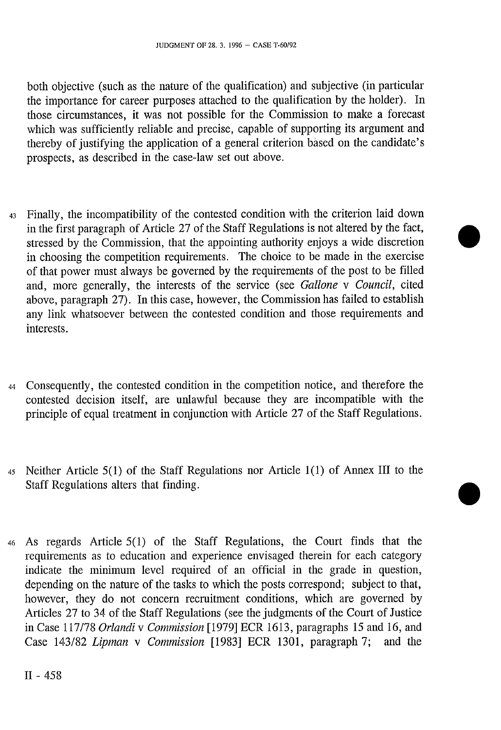both objective (such as the nature of the qualification) and subjective (in particular the importance for career purposes attached to the qualification by the holder). In those circumstances, it was not possible for the Commission to make a forecast which was sufficiently reliable and precise, capable of supporting its argument and thereby of justifying the application of a general criterion based on the candidate's prospects, as described in the case-law set out above.

- 43 Finally, the incompatibility of the contested condition with the criterion laid down in the first paragraph of Article 27 of the Staff Regulations is not altered by the fact, stressed by the Commission, that the appointing authority enjoys a wide discretion in choosing the competition requirements. The choice to be made in the exercise of that power must always be governed by the requirements of the post to be filled and, more generally, the interests of the service (see *Galione* v *Council,* cited above, paragraph 27). In this case, however, the Commission has failed to establish any link whatsoever between the contested condition and those requirements and interests.
- 44 Consequently, the contested condition in the competition notice, and therefore the contested decision itself, are unlawful because they are incompatible with the principle of equal treatment in conjunction with Article 27 of the Staff Regulations.
- 45 Neither Article 5(1) of the Staff Regulations nor Article 1(1) of Annex III to the Staff Regulations alters that finding.
- 46 As regards Article 5(1) of the Staff Regulations, the Court finds that the requirements as to education and experience envisaged therein for each category indicate the minimum level required of an official in the grade in question, depending on the nature of the tasks to which the posts correspond; subject to that, however, they do not concern recruitment conditions, which are governed by Articles 27 to 34 of the Staff Regulations (see the judgments of the Court of Justice in Case 117/78 *Orlandi v Commission* [1979] ECR 1613, paragraphs 15 and 16, and Case 143/82 *Lipman* v *Commission* [1983] ECR 1301, paragraph 7; and the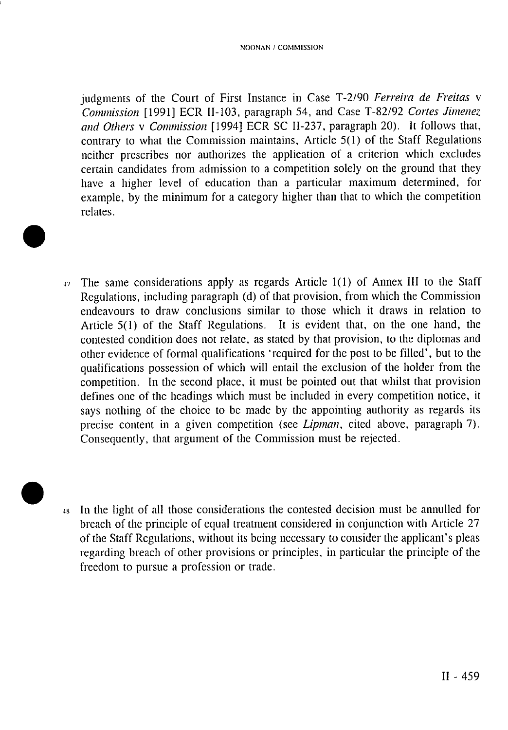judgments of the Court of First Instance in Case T-2/90 *Ferreira de Freitas* v *Commission* [1991] ECR II-103, paragraph 54, and Case T-82/92 *Cortes Jimenez and Others* v *Commission* [1994] ECR SC II-237, paragraph 20). It follows that, contrary to what the Commission maintains. Article 5(1) of the Staff Regulations neither prescribes nor authorizes the application of a criterion which excludes certain candidates from admission to a competition solely on the ground that they have a higher level of education than a particular maximum determined, for example, by the minimum for a category higher than that to which the competition relates.

- 47 The same considerations apply as regards Article 1(1) of Annex III to the Staff Regulations, including paragraph (d) of that provision, from which the Commission endeavours to draw conclusions similar to those which it draws in relation to Article 5(1) of the Staff Regulations. It is evident that, on the one hand, the contested condition does not relate, as stated by that provision, to the diplomas and other evidence of formal qualifications 'required for the post to be filled', but to the qualifications possession of which will entail the exclusion of the holder from the competition. In the second place, it must be pointed out that whilst that provision defines one of the headings which must be included in every competition notice, it says nothing of the choice to be made by the appointing authority as regards its precise content in a given competition (see *Lipman,* cited above, paragraph 7). Consequently, that argument of the Commission must be rejected.
- 

48 In the light of all those considerations the contested decision must be annulled for breach of the principle of equal treatment considered in conjunction with Article 27 of the Staff Regulations, without its being necessary to consider the applicant's pleas regarding breach of other provisions or principles, in particular the principle of the freedom to pursue a profession or trade.